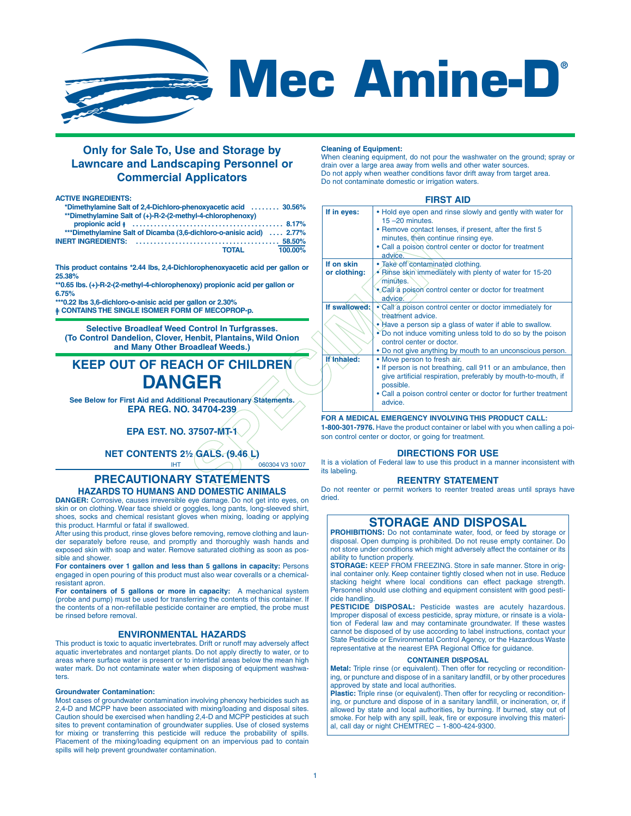

# **Mec Amine-D®**

# **Only for Sale To, Use and Storage by Lawncare and Landscaping Personnel or Commercial Applicators**

#### **ACTIVE INGREDIENTS:**

| *Dimethylamine Salt of 2.4-Dichloro-phenoxyacetic acid  30.56% |  |
|----------------------------------------------------------------|--|
| **Dimethylamine Salt of (+)-R-2-(2-methyl-4-chlorophenoxy)     |  |
|                                                                |  |

| ***Dimethylamine Salt of Dicamba (3,6-dichloro-o-anisic acid)  2.77% |         |
|----------------------------------------------------------------------|---------|
|                                                                      |         |
| TOTAL                                                                | 100.00% |

**This product contains \*2.44 lbs, 2,4-Dichlorophenoxyacetic acid per gallon or 25.38%**

**\*\*0.65 lbs. (+)-R-2-(2-methyl-4-chlorophenoxy) propionic acid per gallon or 6.75%**

**\*\*\*0.22 lbs 3,6-dichloro-o-anisic acid per gallon or 2.30%**

**= CONTAINS THE SINGLE ISOMER FORM OF MECOPROP-p.**

**Selective Broadleaf Weed Control In Turfgrasses. (To Control Dandelion, Clover, Henbit, Plantains, Wild Onion and Many Other Broadleaf Weeds.)**

# **KEEP OUT OF REACH OF CHILDREN DANGER**

**See Below for First Aid and Additional Precautionary Statements. EPA REG. NO. 34704-239**

# **EPA EST. NO. 37507-MT-1**

**NET CONTENTS 2½ GALS. (9.46 L)**

 $IHT$  060304 V3 10/07

# **PRECAUTIONARY STATEMENTS HAZARDS TO HUMANS AND DOMESTIC ANIMALS**

**DANGER:** Corrosive, causes irreversible eye damage. Do not get into eyes, on skin or on clothing. Wear face shield or goggles, long pants, long-sleeved shirt, shoes, socks and chemical resistant gloves when mixing, loading or applying this product. Harmful or fatal if swallowed.

After using this product, rinse gloves before removing, remove clothing and launder separately before reuse, and promptly and thoroughly wash hands and exposed skin with soap and water. Remove saturated clothing as soon as possible and shower.

**For containers over 1 gallon and less than 5 gallons in capacity:** Persons engaged in open pouring of this product must also wear coveralls or a chemicalresistant apron.

**For containers of 5 gallons or more in capacity:** A mechanical system (probe and pump) must be used for transferring the contents of this container. If the contents of a non-refillable pesticide container are emptied, the probe must be rinsed before removal.

# **ENVIRONMENTAL HAZARDS**

This product is toxic to aquatic invertebrates. Drift or runoff may adversely affect aquatic invertebrates and nontarget plants. Do not apply directly to water, or to areas where surface water is present or to intertidal areas below the mean high water mark. Do not contaminate water when disposing of equipment washwaters.

#### **Groundwater Contamination:**

Most cases of groundwater contamination involving phenoxy herbicides such as 2,4-D and MCPP have been associated with mixing/loading and disposal sites. Caution should be exercised when handling 2,4-D and MCPP pesticides at such sites to prevent contamination of groundwater supplies. Use of closed systems for mixing or transferring this pesticide will reduce the probability of spills. Placement of the mixing/loading equipment on an impervious pad to contain spills will help prevent groundwater contamination.

#### **Cleaning of Equipment:**

When cleaning equipment, do not pour the washwater on the ground; spray or drain over a large area away from wells and other water source Do not apply when weather conditions favor drift away from target area. Do not contaminate domestic or irrigation waters.

# **FIRST AID**

| nenoxyacetic acid  30.56%<br>hyl-4-chlorophenoxy) | If in eyes:   | . Hold eye open and rinse slowly and gently with water for<br>$15 - 20$ minutes.   |
|---------------------------------------------------|---------------|------------------------------------------------------------------------------------|
| 8.17%<br>-dichloro-o-anisic acid)  2.77%          |               | • Remove contact lenses, if present, after the first 5                             |
| $.58,50\%$                                        |               | minutes, then continue rinsing eye.                                                |
| <b>TOTAL</b><br>100.00%                           |               | • Call a poison control center or doctor for treatment<br>advice.                  |
|                                                   | If on skin    | · Take off contaminated clothing.                                                  |
| lorophenoxyacetic acid per gallon or              | or clothing:  | • Binse skin immediately with plenty of water for 15-20                            |
|                                                   |               | minutes.                                                                           |
| oxy) propionic acid per gallon or                 |               | . Call a poison control center or doctor for treatment                             |
|                                                   |               | advice.                                                                            |
| allon or 2.30%<br><b>I OF MECOPROP-p.</b>         | If swallowed: | • Call a poison control center or doctor immediately for                           |
|                                                   |               | treatment advice.                                                                  |
| <b>Control In Turfgrasses.</b>                    |               | . Have a person sip a glass of water if able to swallow.                           |
| <b>Henbit, Plantains, Wild Onion</b>              |               | • Do not induce vomiting unless told to do so by the poison                        |
| oadleaf Weeds.)                                   |               | control center or doctor.                                                          |
|                                                   |               | . Do not give anything by mouth to an unconscious person.                          |
| CH OF CHILDREN                                    | If Inhaled:   | • Move person to fresh air.                                                        |
|                                                   |               | • If person is not breathing, call 911 or an ambulance, then                       |
| GER                                               |               | give artificial respiration, preferably by mouth-to-mouth, if<br>possible.         |
|                                                   |               | • Call a poison control center or doctor for further treatment                     |
| onal Precautionary Statements.                    |               | advice.                                                                            |
| .34704-239                                        |               |                                                                                    |
|                                                   |               | FOR A MEDICAL EMERGENCY INVOLVING THIS PRODUCT CALL:                               |
| 37507-MT-1\                                       |               | 1-800-301-7976. Have the product container or label with you when calling a poi    |
|                                                   |               | son control center or doctor, or going for treatment.                              |
| 2 GALS. (9.46 L)                                  |               | <b>DIRECTIONS FOR USE</b>                                                          |
| 060304 V3 10/07                                   |               | It is a violation of Federal law to use this product in a manner inconsistent with |
|                                                   | its labeling. |                                                                                    |
| <b>STATEMENTS</b>                                 |               | <b>REENTRY STATEMENT</b>                                                           |
| IN NOMESTIC ANIMALS                               |               | Do not reenter or permit workers to reenter treated areas until sprays have        |

## **FOR A MEDICAL EMERGENCY INVOLVING THIS PRODUCT CALL:**

# **DIRECTIONS FOR USE**

# **REENTRY STATEMENT**

Do not reenter or permit workers to reenter treated areas until sprays have dried.

# **STORAGE AND DISPOSAL**

**PROHIBITIONS:** Do not contaminate water, food, or feed by storage or disposal. Open dumping is prohibited. Do not reuse empty container. Do not store under conditions which might adversely affect the container or its ability to function properly.

**STORAGE:** KEEP FROM FREEZING. Store in safe manner. Store in original container only. Keep container tightly closed when not in use. Reduce stacking height where local conditions can effect package strength. Personnel should use clothing and equipment consistent with good pesticide handling.

PESTICIDE DISPOSAL: Pesticide wastes are acutely hazardous. Improper disposal of excess pesticide, spray mixture, or rinsate is a violation of Federal law and may contaminate groundwater. If these wastes cannot be disposed of by use according to label instructions, contact your State Pesticide or Environmental Control Agency, or the Hazardous Waste representative at the nearest EPA Regional Office for guidance.

#### **CONTAINER DISPOSAL**

**Metal:** Triple rinse (or equivalent). Then offer for recycling or reconditioning, or puncture and dispose of in a sanitary landfill, or by other procedures approved by state and local authorities.

Plastic: Triple rinse (or equivalent). Then offer for recycling or reconditioning, or puncture and dispose of in a sanitary landfill, or incineration, or, if allowed by state and local authorities, by burning. If burned, stay out of smoke. For help with any spill, leak, fire or exposure involving this material, call day or night CHEMTREC – 1-800-424-9300.